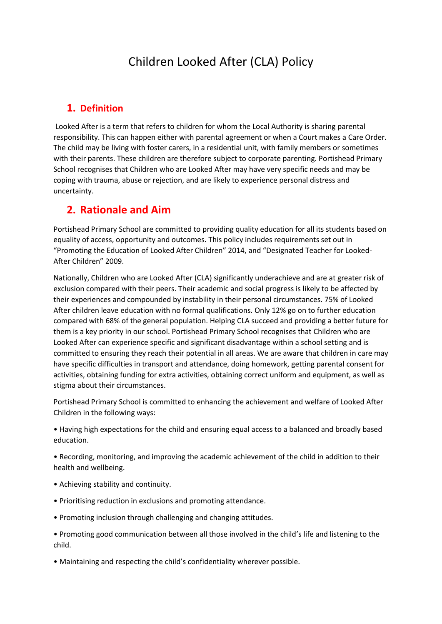# Children Looked After (CLA) Policy

#### **1. Definition**

 Looked After is a term that refers to children for whom the Local Authority is sharing parental responsibility. This can happen either with parental agreement or when a Court makes a Care Order. The child may be living with foster carers, in a residential unit, with family members or sometimes with their parents. These children are therefore subject to corporate parenting. Portishead Primary School recognises that Children who are Looked After may have very specific needs and may be coping with trauma, abuse or rejection, and are likely to experience personal distress and uncertainty.

## **2. Rationale and Aim**

Portishead Primary School are committed to providing quality education for all its students based on equality of access, opportunity and outcomes. This policy includes requirements set out in "Promoting the Education of Looked After Children" 2014, and "Designated Teacher for Looked-After Children" 2009.

Nationally, Children who are Looked After (CLA) significantly underachieve and are at greater risk of exclusion compared with their peers. Their academic and social progress is likely to be affected by their experiences and compounded by instability in their personal circumstances. 75% of Looked After children leave education with no formal qualifications. Only 12% go on to further education compared with 68% of the general population. Helping CLA succeed and providing a better future for them is a key priority in our school. Portishead Primary School recognises that Children who are Looked After can experience specific and significant disadvantage within a school setting and is committed to ensuring they reach their potential in all areas. We are aware that children in care may have specific difficulties in transport and attendance, doing homework, getting parental consent for activities, obtaining funding for extra activities, obtaining correct uniform and equipment, as well as stigma about their circumstances.

Portishead Primary School is committed to enhancing the achievement and welfare of Looked After Children in the following ways:

• Having high expectations for the child and ensuring equal access to a balanced and broadly based education.

• Recording, monitoring, and improving the academic achievement of the child in addition to their health and wellbeing.

- Achieving stability and continuity.
- Prioritising reduction in exclusions and promoting attendance.
- Promoting inclusion through challenging and changing attitudes.
- Promoting good communication between all those involved in the child's life and listening to the child.
- Maintaining and respecting the child's confidentiality wherever possible.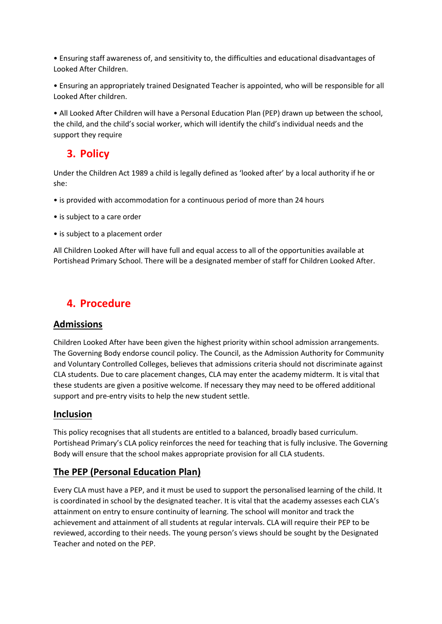• Ensuring staff awareness of, and sensitivity to, the difficulties and educational disadvantages of Looked After Children.

• Ensuring an appropriately trained Designated Teacher is appointed, who will be responsible for all Looked After children.

• All Looked After Children will have a Personal Education Plan (PEP) drawn up between the school, the child, and the child's social worker, which will identify the child's individual needs and the support they require

# **3. Policy**

Under the Children Act 1989 a child is legally defined as 'looked after' by a local authority if he or she:

- is provided with accommodation for a continuous period of more than 24 hours
- is subject to a care order
- is subject to a placement order

All Children Looked After will have full and equal access to all of the opportunities available at Portishead Primary School. There will be a designated member of staff for Children Looked After.

# **4. Procedure**

#### **Admissions**

Children Looked After have been given the highest priority within school admission arrangements. The Governing Body endorse council policy. The Council, as the Admission Authority for Community and Voluntary Controlled Colleges, believes that admissions criteria should not discriminate against CLA students. Due to care placement changes, CLA may enter the academy midterm. It is vital that these students are given a positive welcome. If necessary they may need to be offered additional support and pre-entry visits to help the new student settle.

#### **Inclusion**

This policy recognises that all students are entitled to a balanced, broadly based curriculum. Portishead Primary's CLA policy reinforces the need for teaching that is fully inclusive. The Governing Body will ensure that the school makes appropriate provision for all CLA students.

#### **The PEP (Personal Education Plan)**

Every CLA must have a PEP, and it must be used to support the personalised learning of the child. It is coordinated in school by the designated teacher. It is vital that the academy assesses each CLA's attainment on entry to ensure continuity of learning. The school will monitor and track the achievement and attainment of all students at regular intervals. CLA will require their PEP to be reviewed, according to their needs. The young person's views should be sought by the Designated Teacher and noted on the PEP.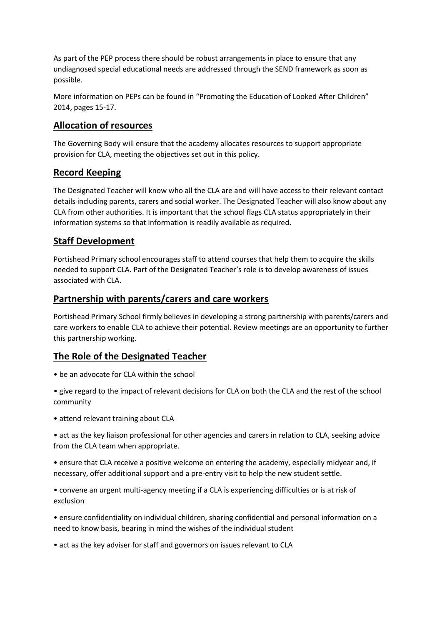As part of the PEP process there should be robust arrangements in place to ensure that any undiagnosed special educational needs are addressed through the SEND framework as soon as possible.

More information on PEPs can be found in "Promoting the Education of Looked After Children" 2014, pages 15-17.

#### **Allocation of resources**

The Governing Body will ensure that the academy allocates resources to support appropriate provision for CLA, meeting the objectives set out in this policy.

### **Record Keeping**

The Designated Teacher will know who all the CLA are and will have access to their relevant contact details including parents, carers and social worker. The Designated Teacher will also know about any CLA from other authorities. It is important that the school flags CLA status appropriately in their information systems so that information is readily available as required.

### **Staff Development**

Portishead Primary school encourages staff to attend courses that help them to acquire the skills needed to support CLA. Part of the Designated Teacher's role is to develop awareness of issues associated with CLA.

#### **Partnership with parents/carers and care workers**

Portishead Primary School firmly believes in developing a strong partnership with parents/carers and care workers to enable CLA to achieve their potential. Review meetings are an opportunity to further this partnership working.

## **The Role of the Designated Teacher**

- be an advocate for CLA within the school
- give regard to the impact of relevant decisions for CLA on both the CLA and the rest of the school community
- attend relevant training about CLA

• act as the key liaison professional for other agencies and carers in relation to CLA, seeking advice from the CLA team when appropriate.

• ensure that CLA receive a positive welcome on entering the academy, especially midyear and, if necessary, offer additional support and a pre-entry visit to help the new student settle.

• convene an urgent multi-agency meeting if a CLA is experiencing difficulties or is at risk of exclusion

• ensure confidentiality on individual children, sharing confidential and personal information on a need to know basis, bearing in mind the wishes of the individual student

• act as the key adviser for staff and governors on issues relevant to CLA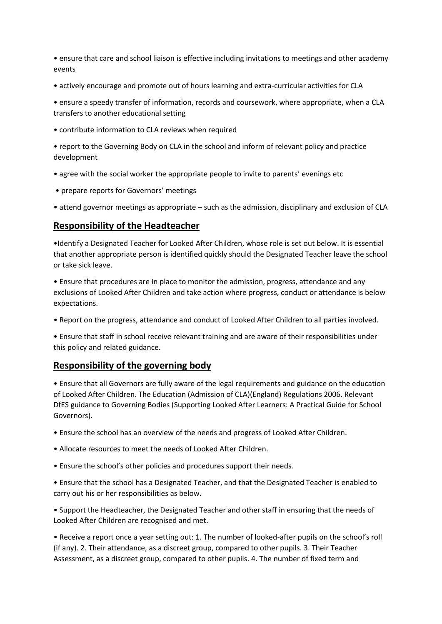• ensure that care and school liaison is effective including invitations to meetings and other academy events

• actively encourage and promote out of hours learning and extra-curricular activities for CLA

• ensure a speedy transfer of information, records and coursework, where appropriate, when a CLA transfers to another educational setting

• contribute information to CLA reviews when required

• report to the Governing Body on CLA in the school and inform of relevant policy and practice development

- agree with the social worker the appropriate people to invite to parents' evenings etc
- prepare reports for Governors' meetings

• attend governor meetings as appropriate – such as the admission, disciplinary and exclusion of CLA

#### **Responsibility of the Headteacher**

•Identify a Designated Teacher for Looked After Children, whose role is set out below. It is essential that another appropriate person is identified quickly should the Designated Teacher leave the school or take sick leave.

• Ensure that procedures are in place to monitor the admission, progress, attendance and any exclusions of Looked After Children and take action where progress, conduct or attendance is below expectations.

• Report on the progress, attendance and conduct of Looked After Children to all parties involved.

• Ensure that staff in school receive relevant training and are aware of their responsibilities under this policy and related guidance.

#### **Responsibility of the governing body**

• Ensure that all Governors are fully aware of the legal requirements and guidance on the education of Looked After Children. The Education (Admission of CLA)(England) Regulations 2006. Relevant DfES guidance to Governing Bodies (Supporting Looked After Learners: A Practical Guide for School Governors).

• Ensure the school has an overview of the needs and progress of Looked After Children.

- Allocate resources to meet the needs of Looked After Children.
- Ensure the school's other policies and procedures support their needs.

• Ensure that the school has a Designated Teacher, and that the Designated Teacher is enabled to carry out his or her responsibilities as below.

• Support the Headteacher, the Designated Teacher and other staff in ensuring that the needs of Looked After Children are recognised and met.

• Receive a report once a year setting out: 1. The number of looked-after pupils on the school's roll (if any). 2. Their attendance, as a discreet group, compared to other pupils. 3. Their Teacher Assessment, as a discreet group, compared to other pupils. 4. The number of fixed term and